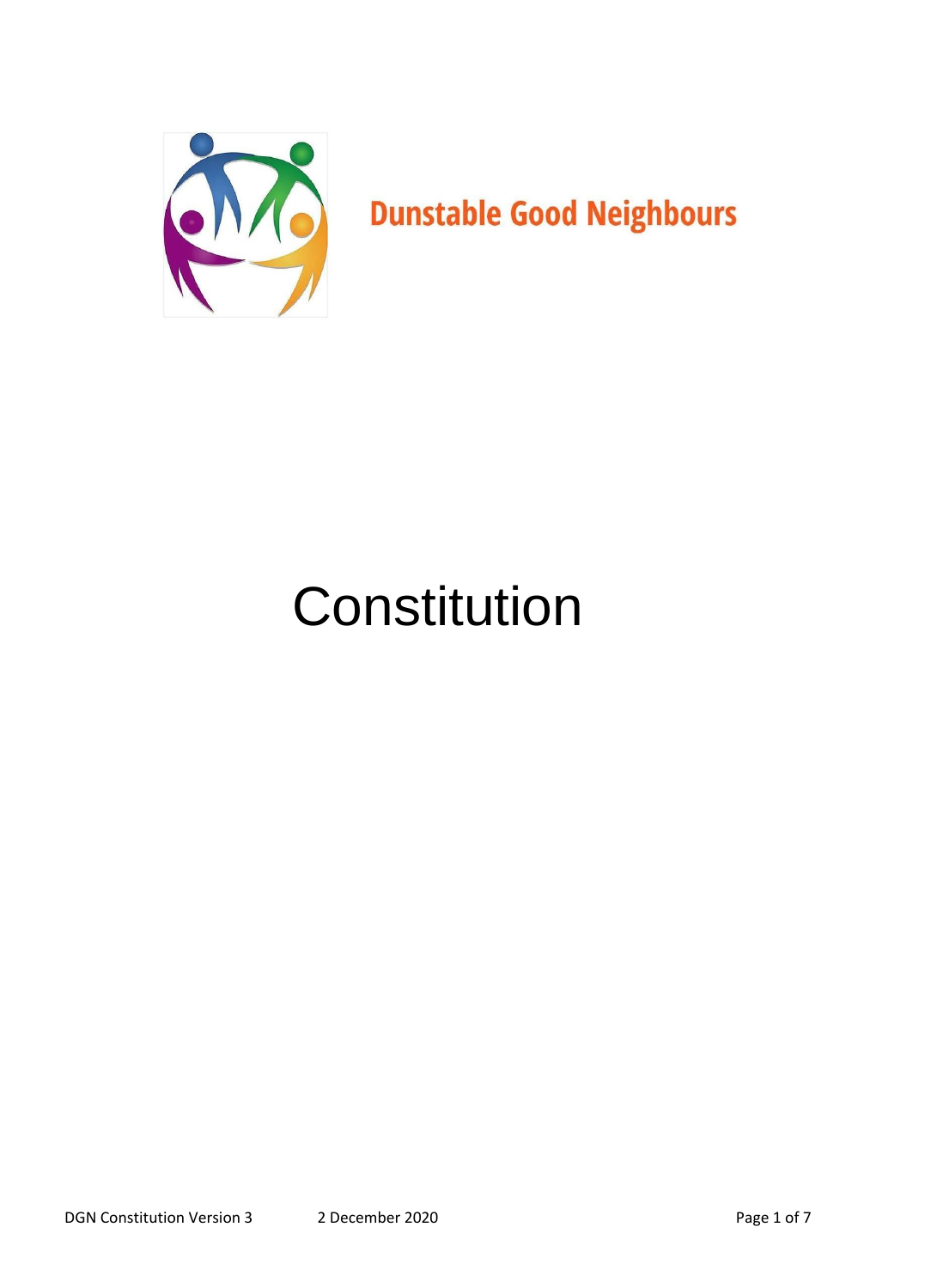

# Constitution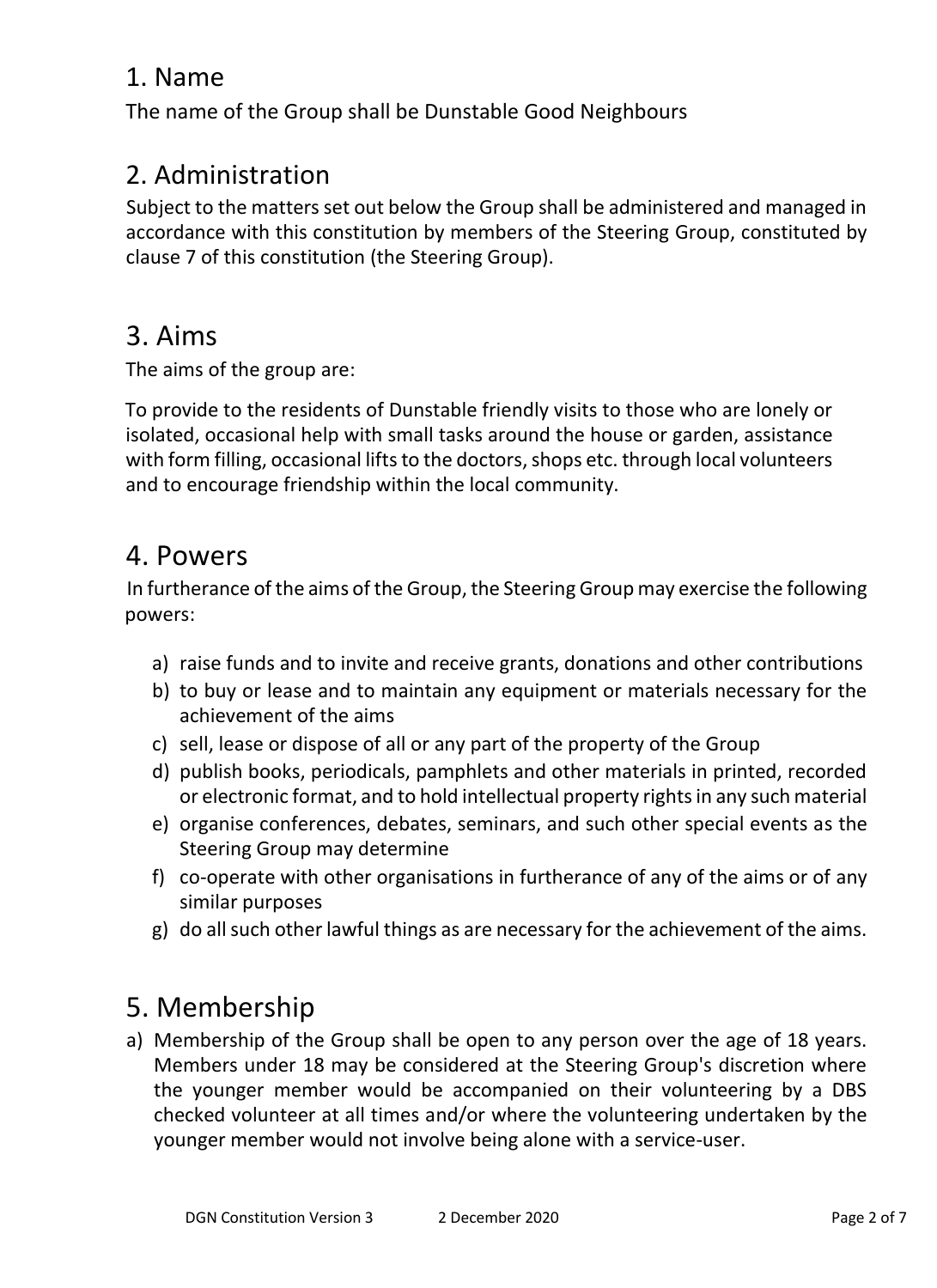## 1. Name

The name of the Group shall be Dunstable Good Neighbours

# 2. Administration

Subject to the matters set out below the Group shall be administered and managed in accordance with this constitution by members of the Steering Group, constituted by clause 7 of this constitution (the Steering Group).

# 3. Aims

The aims of the group are:

To provide to the residents of Dunstable friendly visits to those who are lonely or isolated, occasional help with small tasks around the house or garden, assistance with form filling, occasional lifts to the doctors, shops etc. through local volunteers and to encourage friendship within the local community.

## 4. Powers

In furtherance of the aims of the Group, the Steering Group may exercise the following powers:

- a) raise funds and to invite and receive grants, donations and other contributions
- b) to buy or lease and to maintain any equipment or materials necessary for the achievement of the aims
- c) sell, lease or dispose of all or any part of the property of the Group
- d) publish books, periodicals, pamphlets and other materials in printed, recorded or electronic format, and to hold intellectual property rights in any such material
- e) organise conferences, debates, seminars, and such other special events as the Steering Group may determine
- f) co-operate with other organisations in furtherance of any of the aims or of any similar purposes
- g) do all such other lawful things as are necessary for the achievement of the aims.

# 5. Membership

a) Membership of the Group shall be open to any person over the age of 18 years. Members under 18 may be considered at the Steering Group's discretion where the younger member would be accompanied on their volunteering by a DBS checked volunteer at all times and/or where the volunteering undertaken by the younger member would not involve being alone with a service-user.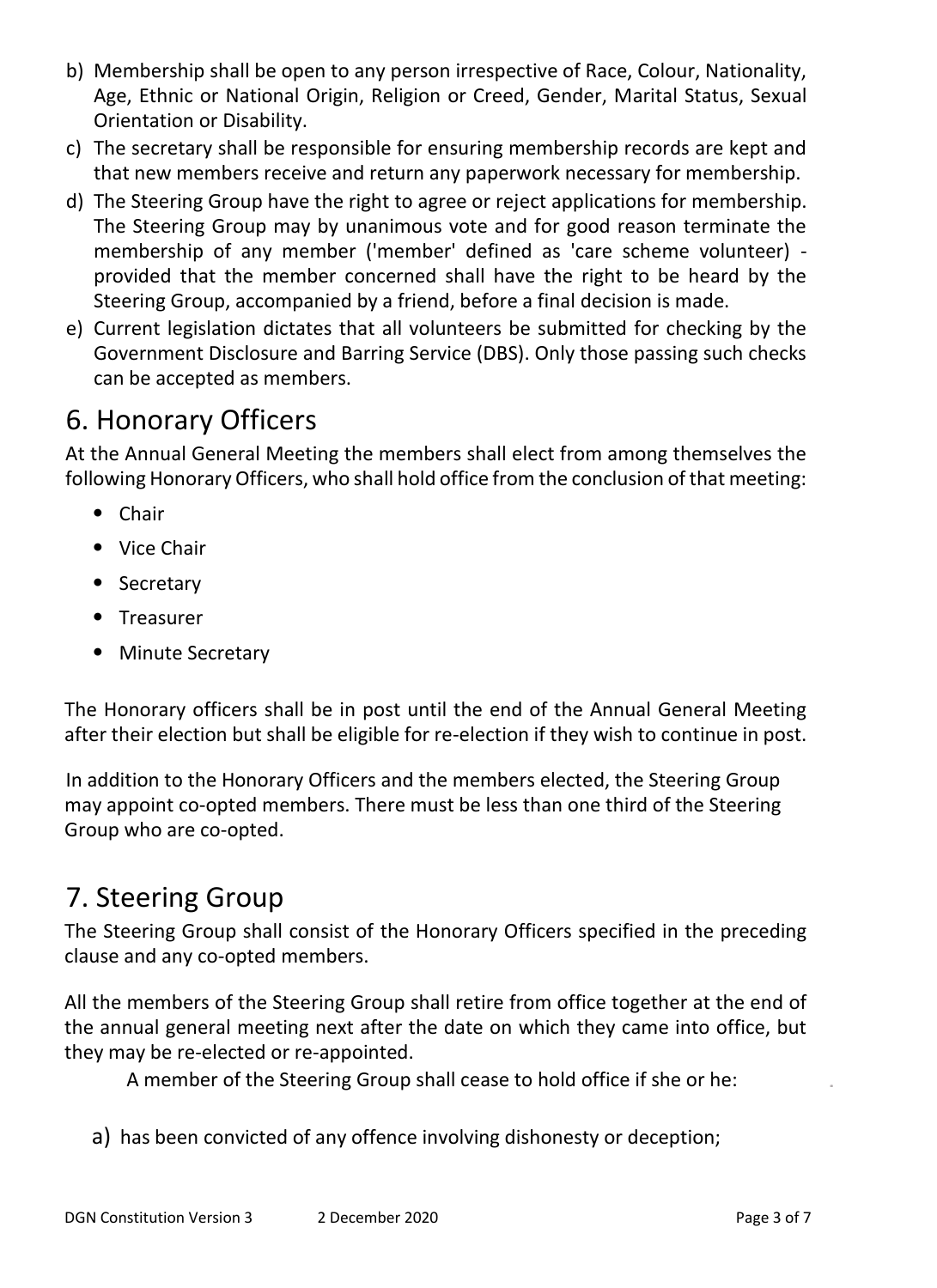- b) Membership shall be open to any person irrespective of Race, Colour, Nationality, Age, Ethnic or National Origin, Religion or Creed, Gender, Marital Status, Sexual Orientation or Disability.
- c) The secretary shall be responsible for ensuring membership records are kept and that new members receive and return any paperwork necessary for membership.
- d) The Steering Group have the right to agree or reject applications for membership. The Steering Group may by unanimous vote and for good reason terminate the membership of any member ('member' defined as 'care scheme volunteer) provided that the member concerned shall have the right to be heard by the Steering Group, accompanied by a friend, before a final decision is made.
- e) Current legislation dictates that all volunteers be submitted for checking by the Government Disclosure and Barring Service (DBS). Only those passing such checks can be accepted as members.

# 6. Honorary Officers

At the Annual General Meeting the members shall elect from among themselves the following Honorary Officers, who shall hold office from the conclusion of that meeting:

- Chair
- Vice Chair
- Secretary
- Treasurer
- Minute Secretary

The Honorary officers shall be in post until the end of the Annual General Meeting after their election but shall be eligible for re-election if they wish to continue in post.

In addition to the Honorary Officers and the members elected, the Steering Group may appoint co-opted members. There must be less than one third of the Steering Group who are co-opted.

# 7. Steering Group

The Steering Group shall consist of the Honorary Officers specified in the preceding clause and any co-opted members.

All the members of the Steering Group shall retire from office together at the end of the annual general meeting next after the date on which they came into office, but they may be re-elected or re-appointed.

A member of the Steering Group shall cease to hold office if she or he:

a) has been convicted of any offence involving dishonesty or deception;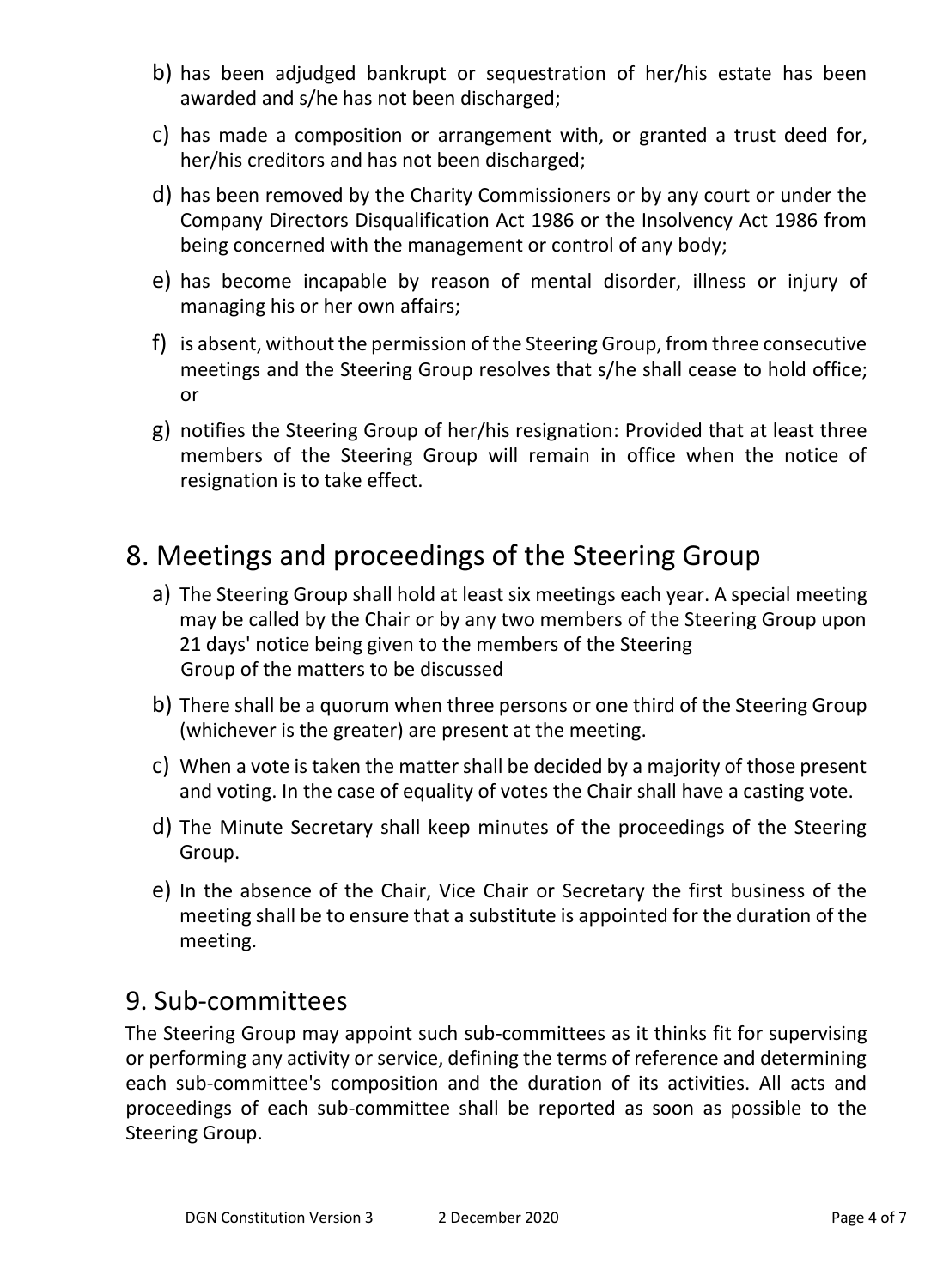- b) has been adjudged bankrupt or sequestration of her/his estate has been awarded and s/he has not been discharged;
- c) has made a composition or arrangement with, or granted a trust deed for, her/his creditors and has not been discharged;
- d) has been removed by the Charity Commissioners or by any court or under the Company Directors Disqualification Act 1986 or the Insolvency Act 1986 from being concerned with the management or control of any body;
- e) has become incapable by reason of mental disorder, illness or injury of managing his or her own affairs;
- f) is absent, without the permission of the Steering Group, from three consecutive meetings and the Steering Group resolves that s/he shall cease to hold office; or
- g) notifies the Steering Group of her/his resignation: Provided that at least three members of the Steering Group will remain in office when the notice of resignation is to take effect.

# 8. Meetings and proceedings of the Steering Group

- a) The Steering Group shall hold at least six meetings each year. A special meeting may be called by the Chair or by any two members of the Steering Group upon 21 days' notice being given to the members of the Steering Group of the matters to be discussed
- b) There shall be a quorum when three persons or one third of the Steering Group (whichever is the greater) are present at the meeting.
- c) When a vote is taken the matter shall be decided by a majority of those present and voting. In the case of equality of votes the Chair shall have a casting vote.
- d) The Minute Secretary shall keep minutes of the proceedings of the Steering Group.
- e) In the absence of the Chair, Vice Chair or Secretary the first business of the meeting shall be to ensure that a substitute is appointed for the duration of the meeting.

#### 9. Sub-committees

The Steering Group may appoint such sub-committees as it thinks fit for supervising or performing any activity or service, defining the terms of reference and determining each sub-committee's composition and the duration of its activities. All acts and proceedings of each sub-committee shall be reported as soon as possible to the Steering Group.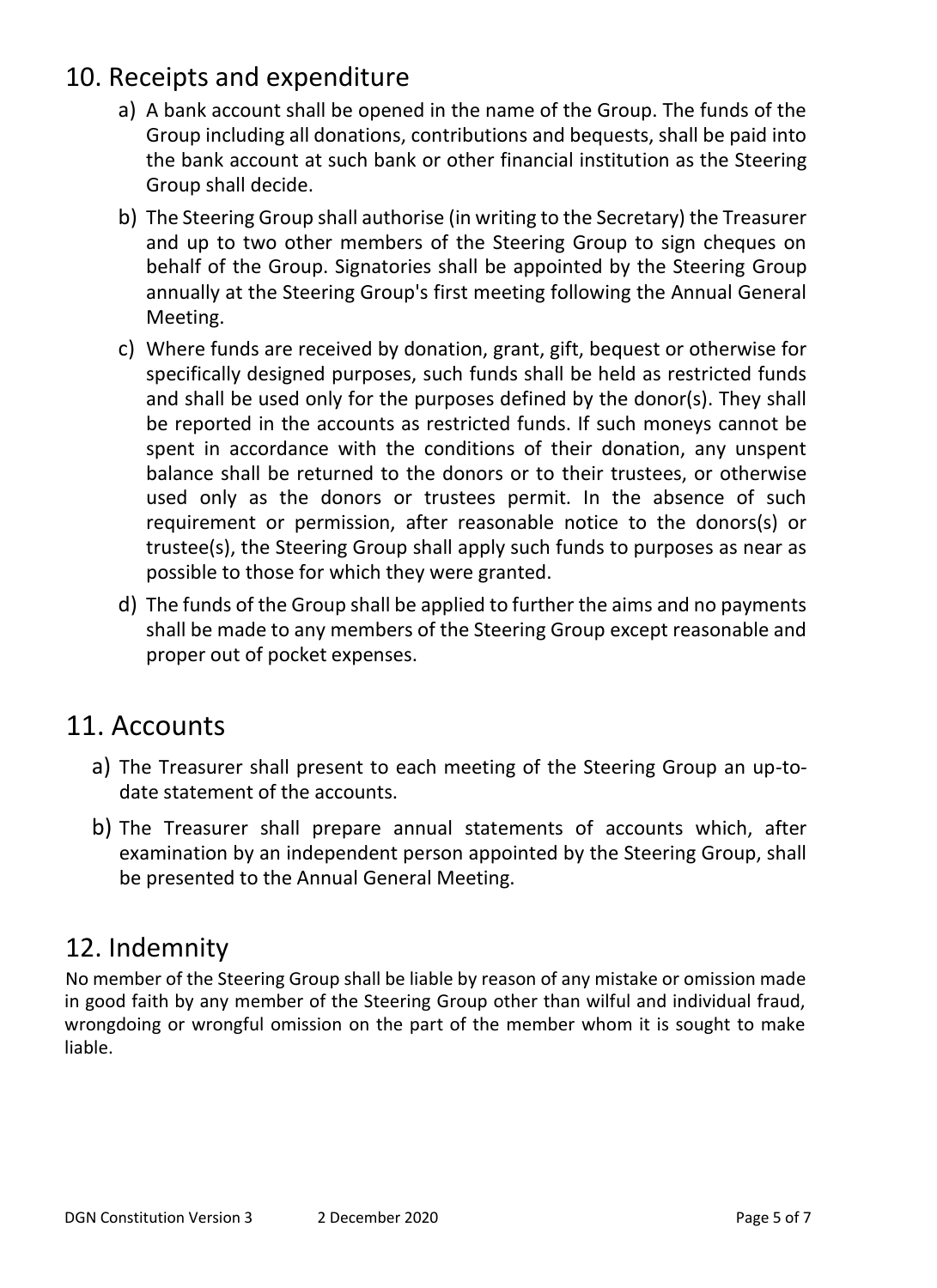# 10. Receipts and expenditure

- a) A bank account shall be opened in the name of the Group. The funds of the Group including all donations, contributions and bequests, shall be paid into the bank account at such bank or other financial institution as the Steering Group shall decide.
- b) The Steering Group shall authorise (in writing to the Secretary) the Treasurer and up to two other members of the Steering Group to sign cheques on behalf of the Group. Signatories shall be appointed by the Steering Group annually at the Steering Group's first meeting following the Annual General Meeting.
- c) Where funds are received by donation, grant, gift, bequest or otherwise for specifically designed purposes, such funds shall be held as restricted funds and shall be used only for the purposes defined by the donor(s). They shall be reported in the accounts as restricted funds. If such moneys cannot be spent in accordance with the conditions of their donation, any unspent balance shall be returned to the donors or to their trustees, or otherwise used only as the donors or trustees permit. In the absence of such requirement or permission, after reasonable notice to the donors(s) or trustee(s), the Steering Group shall apply such funds to purposes as near as possible to those for which they were granted.
- d) The funds of the Group shall be applied to further the aims and no payments shall be made to any members of the Steering Group except reasonable and proper out of pocket expenses.

# 11. Accounts

- a) The Treasurer shall present to each meeting of the Steering Group an up-todate statement of the accounts.
- b) The Treasurer shall prepare annual statements of accounts which, after examination by an independent person appointed by the Steering Group, shall be presented to the Annual General Meeting.

# 12. Indemnity

No member of the Steering Group shall be liable by reason of any mistake or omission made in good faith by any member of the Steering Group other than wilful and individual fraud, wrongdoing or wrongful omission on the part of the member whom it is sought to make liable.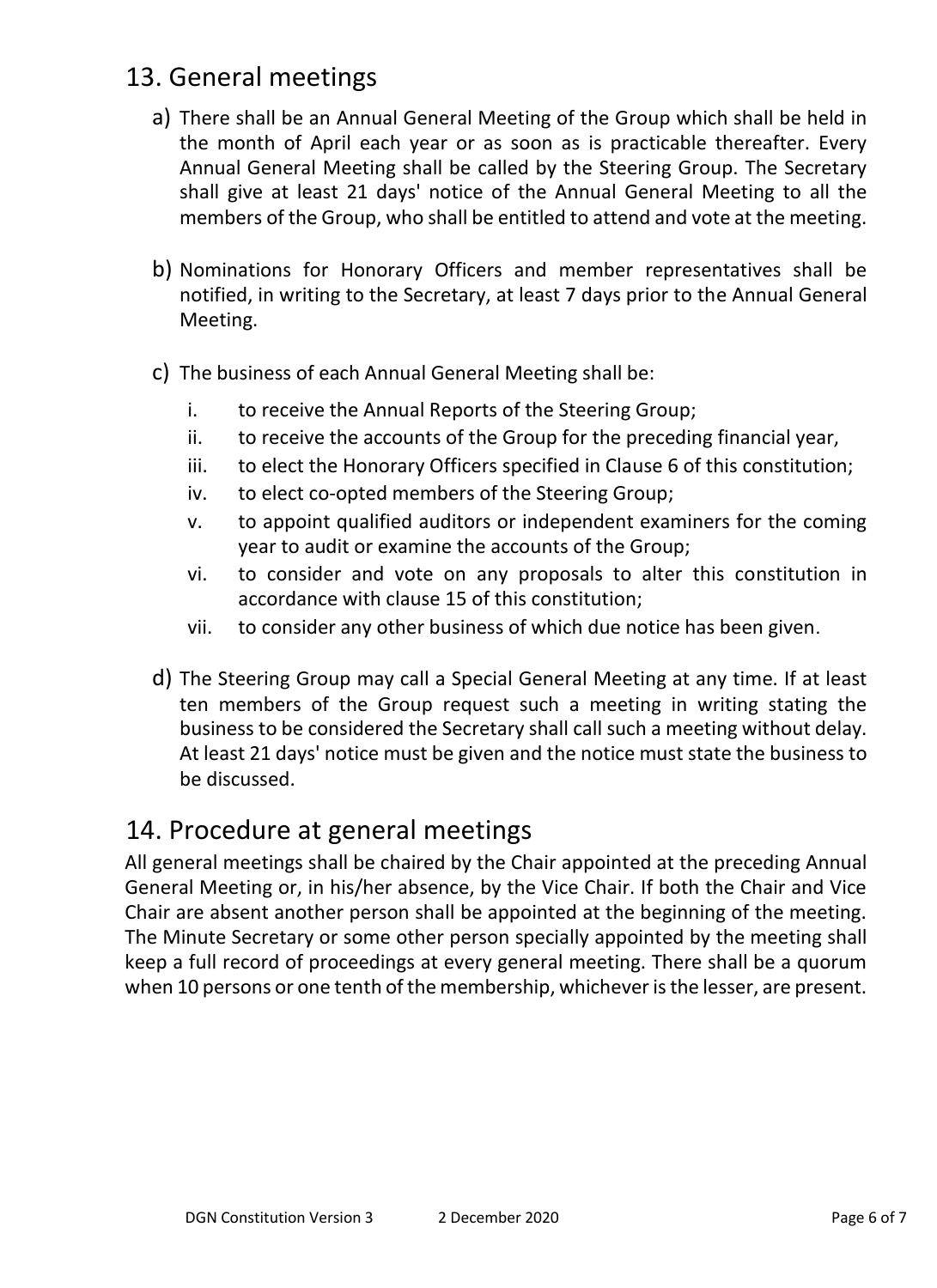## 13. General meetings

- a) There shall be an Annual General Meeting of the Group which shall be held in the month of April each year or as soon as is practicable thereafter. Every Annual General Meeting shall be called by the Steering Group. The Secretary shall give at least 21 days' notice of the Annual General Meeting to all the members of the Group, who shall be entitled to attend and vote at the meeting.
- b) Nominations for Honorary Officers and member representatives shall be notified, in writing to the Secretary, at least 7 days prior to the Annual General Meeting.
- c) The business of each Annual General Meeting shall be:
	- i. to receive the Annual Reports of the Steering Group;
	- ii. to receive the accounts of the Group for the preceding financial year,
	- iii. to elect the Honorary Officers specified in Clause 6 of this constitution;
	- iv. to elect co-opted members of the Steering Group;
	- v. to appoint qualified auditors or independent examiners for the coming year to audit or examine the accounts of the Group;
	- vi. to consider and vote on any proposals to alter this constitution in accordance with clause 15 of this constitution;
	- vii. to consider any other business of which due notice has been given.
- d) The Steering Group may call a Special General Meeting at any time. If at least ten members of the Group request such a meeting in writing stating the business to be considered the Secretary shall call such a meeting without delay. At least 21 days' notice must be given and the notice must state the business to be discussed.

## 14. Procedure at general meetings

All general meetings shall be chaired by the Chair appointed at the preceding Annual General Meeting or, in his/her absence, by the Vice Chair. If both the Chair and Vice Chair are absent another person shall be appointed at the beginning of the meeting. The Minute Secretary or some other person specially appointed by the meeting shall keep a full record of proceedings at every general meeting. There shall be a quorum when 10 persons or one tenth of the membership, whichever is the lesser, are present.